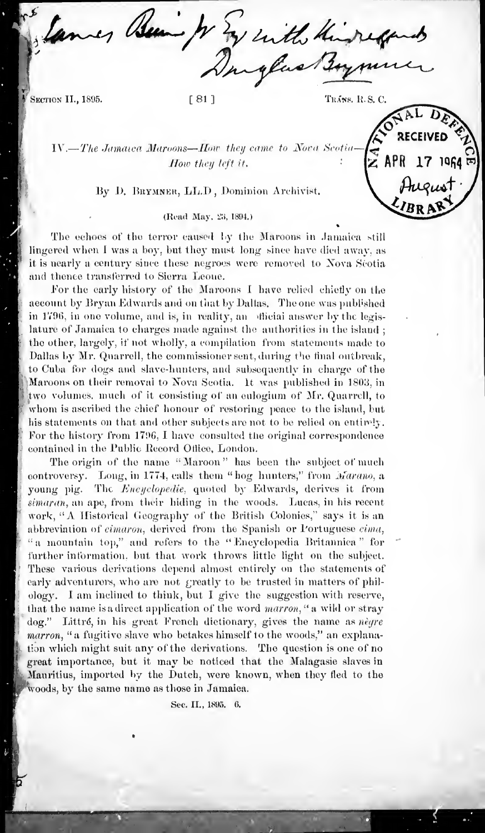Being to En with things

SECTION II., 1895.

 $[81]$ 

TRÁNS, R.S.C.

IV.-The Jamaica Maroons-How they came to Nova Scoti How they left it.

#### By D. BRYMNER, LL.D, Dominion Archivist.

# (Read May, 23, 1894.)

The echoes of the terror caused by the Maroons in Jamaica still lingered when I was a boy, but they must long since have died away, as it is nearly a century since these negroes were removed to Nova Scotia and thence transferred to Sierra Leoue.

For the early history of the Maroons I have relied chiefly on the aecount by Bryan Edwards and on that by Dallas. The one was published in 1796, in one volume, and is, in reality, an official answer by the legislature of Jamaica to charges made against the authorities in the island; the other, largely, if not wholly, a compilation from statements made to Dallas by Mr. Quarrell, the commissioner sent, during the final outbreak, to Cuba for dogs and slave-hunters, and subsequently in charge of the Maroons on their removal to Nova Scotia. It was published in 1803, in two volumes, much of it consisting of an eulogium of Mr. Quarrell, to whom is ascribed the chief honour of restoring peace to the island, but his statements on that and other subjects are not to be relied on entirely. For the history from 1796, I have consulted the original correspondence contained in the Public Record Office, London.

The origin of the name "Maroon" has been the subject of much controversy. Long, in 1774, calls them "hog hunters," from Marano, a young pig. The Encyclopedie, quoted by Edwards, derives it from simaran, an ape, from their hiding in the woods. Lucas, in his recent work, "A Historical Geography of the British Colonies," says it is an abbreviation of cimaron, derived from the Spanish or l'ortuguese cima, "a mountain top," and refers to the "Encyclopedia Britannica" for further information, but that work throws little light on the subject. These various derivations depend almost entirely on the statements of early adventurers, who are not greatly to be trusted in matters of philology. I am inclined to think, but I give the suggestion with reserve, that the name is a direct application of the word marron, " a wild or stray dog." Littré, in his great French dictionary, gives the name as nègre marron, "a fugitive slave who betakes himself to the woods," an explanation which might suit any of the derivations. The question is one of no great importance, but it may be noticed that the Malagasie slaves in Mauritius, imported by the Dutch, were known, when they fled to the woods, by the same name as those in Jamaica.

Sec. II., 1895. 6.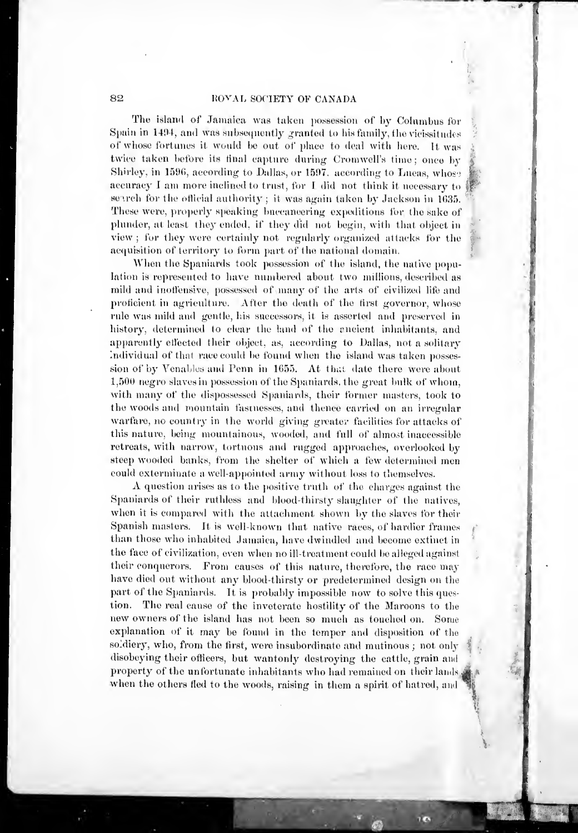'J

 $\mathcal{A}$ 

f

The island of Jamaica was taken possession of by Columbus for Spain in 1494, and was subsequently granted to his family, the vicissitudes of whose fortunes it would be out of place to deal with here. It was twice taken before its tinal capture during Cromwell's time; once by Shirley, in 1596, according to Dallas, or 1597. according to Lucas, whose accuracy  $I$  am more inclined to trust, for  $I$  did not think it necessary to search for the official authority ; it was again taken by Jackson in  $1635$ . These were, properly speaking buccaneering expeditions for the sake of plunder, at least they ended, if they did not begin, with that object in view ; for they were certainly not regularly organized attacks for the acquisition of territory to form part of the national domain.

When the Spaniards took possession of the island, the native population is represented to have numbered about two millions, described as mild and inoffensive, possessed of many of the arts of civilized life and proficient in agriculture. After the death of the first governor, whose rule was mild and gentle, his successors, it is asserted and preserved in history, determined to clear the land of the encient inhabitants, and apparently effected their object, as, according to Dallas, not a solitary Individual of that race could be found when the island was taken possession of by Venables and Penn in 1655. At that date there were about 1,500 negro slaves in possession of the Spaniards, the great bulk of whom, with many of the dispossessed Spaniards, their former masters, took to the woods and mountain fastnesses, and thence carried on an irregular warfare, no country in the world giving greater facilities for attacks of this nature, being mountainous, wooded, and full of almost inaccessible retreats, with narrow, tortuous and rugged approaches, overlooked by steep wooded banks, from the shelter of which a few determined men<br>could exterminate a well-appointed army without loss to themselves.

A question arises as to the positive truth of the charges against the Spaniards of their ruthless and blood-thirsty slaughter of the natives, when it is compared with the attachment shown by the slaves for their Spanish masters. It is well-known that native races, of hardier frames than those who inhabited Jamaica, have dwindled and become extinct in \* the face of civilization, even when no ill-treatment could be alleged against ^ their conquerors. From causes of this nature, therefore, the race may have died out without any blood-thirsty or predetermined design on the part of the Spaniards. It is probably impossible now to solve this question. The real cause of the inveterate hostility of the Maroons to the new owners of the island has not been so much as touched on. Some explanation of it may be found in the temper and disposition of the soldiery, who, from the first, were insubordinate and mutinous ; not only disobeying their officers, but wantonly destroying the cattle, grain and property of the unfortunate inhabitants who had remained on their lands, when the others fled to the woods, raising in them a spirit of hatred, and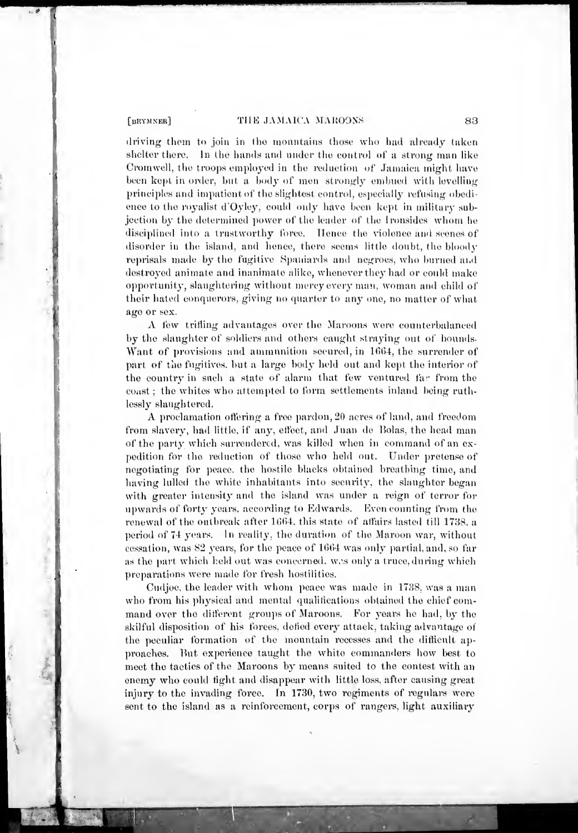where the contract of

the control

 $\lambda$ 

# [BRYMNER] THE JAMAICA MAROONS 83

driving them to join in the mountains those who had already taken shelter there. In the hands and under the control of a strong man like Cromwell, the troops employed in the reduction of Jamaica might have been kept in order, but a body of men strongly embued with levelling principles and impatient of the slightest control, especially refusing obedience to the royalist d'Oyley, could only have been kept in military subjection by the determined power of the leader of the Ironsides whom he disciplined into a trustworthy force. Hence the violence and scenes of disorder in the island, and hence, there seems little doubt, the bloody reprisals made by the fugitive Spaniards and negroes, who burned ai.d destroyed animate and inanimate alike, whenever they had or could make opportunity, slaughtering without mercy every man, woman and child of their hated conquerors, giving no quarter to any one, no matter of what age or sex.

A few trifling advantages over the Maroons were counterbalanced by the slaughter of soldiers and others caught straying out of bounds. Want of provisions and ammunition secured, in 1664, the surrender of part of the fugitives, but a large body held out and kept the interior of the country in such a state of alarm that few ventured fav from the coast : the whites who attempted to form settlements inland being ruthlessly slaughtered.

A proclamation oftering <sup>a</sup> free pardon, <sup>20</sup> acres of land, and freedom from slavery, bad little, if any. etfeet, and Juan de Holas, the head man of the party which surrendered, was killed when in command of an ex pedition for the reduction of those who held out. Under pretense of negotiating for peace, the hostile blacks obtained breathing time, and having lulled the white inhabitants into security, the slaughter began with greater intensity and the island was under a reign of terror for upwards of forty years, according to Edwards. Even counting from the renewal of the outbreak after 1664. this state of atfairs lasted till 1738. a period of 74 years. In reality, the duration of the Maroon war, without cessation, was 82 years, for the peace of 1664 was only partial, and, so far as the part which held out was concerned, w.s only a truce, during which preparations were made for fresh hostilities.

Cudjoe, the leader with whom peace was made in 1738, was a man who from his physical and mental qualifications obtained the chief command over the different groups of Maroons. For years he had, by the skilful disposition of his forces, defied every attack, taking advantage of the peculiar formation of the mountain recesses and the difficult ap proaches. Hut experience taught the white commanders how best to meet the tactics of the Maroons by means suited to the contest with an enemy who could fight and disappear with little loss, after causing great injury to the invading force. In 1730, two regiments of regulars were sent to the island as a reinforcement, corps of rangers, light auxiliary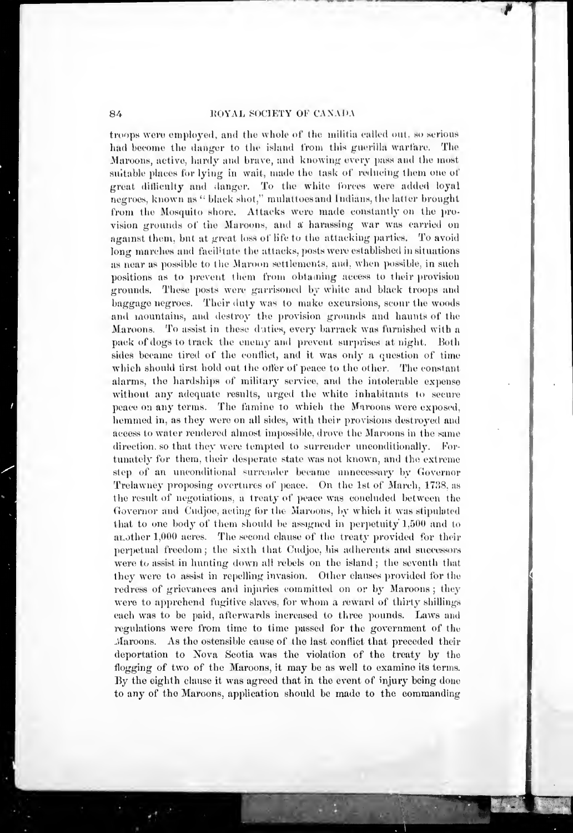**7** 

troops were employed, and the whole of the militia called out, so serious had become the danger to the island from this guerilla warfare. The Maroons, active, hardy and brave, and knowing every pass and the most suitable places for lying in wait, made the task of reducing them one of great difficulty and danger. To the white forces were added loyal negroes, known as " black sliot," mulattoesand Indians, the latter brought from the Mosquito shore. Attaeks were made eonstantiy on the provision grounds of the Maroons, and a harassing war was carried on against them, but at great loss of life to the attacking parties. To avoid long marches and facilitate the attacks, posts were established in situations as near as possible to the Maroon settlements, and, when possible, in such positions as to prevent them from obtaining access to their provision grounds. These posts were garrisoned by white and black troops and baggage negroes. Their duty was to make excursions, scour the woods and mountains, and destroy the provision grounds and haunts of the Maroons. To assist in these daties, every barrack was furnished with a pack of dogs to track the enemy and prevent surprises at night. Both sides became tired of the conflict, and it was only a question of time which should first hold out the offer of peace to the other. The constant alarms, the hardships of military service, and the intolerable expense without any adequate results, urged the white inhabitants to secure peace on any terms. The famine to which the Maroons were exposed, hemmed in. as they were on all sides, with their provisions destroyed and access to water rendered almost impossible, drove the Maroons in the same direction, so that they were tempted to surrender unconditionally. Fortunately for them, their desperate state was not known, and the extreme step of an unconditional surrender became unnecessary by Governor Trelawney proposing overtures of peace. On the Ist of March, 1738. as the result of negotiations, a treaty of peace was concluded between the Governor and Cudjoe, acting for the Maroons, by which it was stipulated that to one body of them should be assigned in perpetuity  $1,500$  and to another 1,000 acres. The second clause of the treaty provided for their perpetual freedom ; the sixth that Cudjoe, his adherents and successors were to assist in hunting down all rebels on the island; the seventh that they were to assist in repelling invasion. Other clauses provided for the redress of grievances and injuries committed on or by Maroons; they were to apprehend fugitive slaves, for whom a reward of thirty shillings each was to be paid, afterwards increased to three pounds. Laws and regulations wore from time to time passed for the government of the Maroons. As the ostensible cause of the last conflict that preceded their deportation to Nova Seotia was the violation of the treaty by the flogging of two of the Maroons, it may be as well to examine its terms. By the eighth clause it was agreed that in the event of injury being done to any of the Maroons, application should be made to the commanding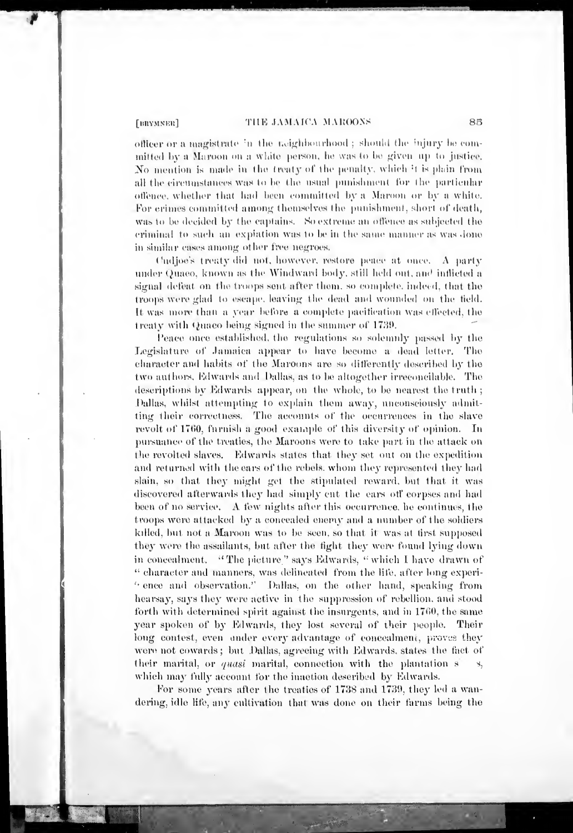#### THE JAMAICA MAROONS

[BRYMNER]

officer or a magistrate in the teighbourhood; should the injury be committed by a Maroon on a white person, he was to be given up to justice. No mention is made in the treaty of the penalty, which it is plain from all the circumstances was to be the usual punishment for the particular offence, whether that had been committed by a Maroon or by a white. For crimes committed among themselves the punishment, short of death, was to be decided by the captains. So extreme an offence as subjected the criminal to such an explation was to be in the same manner as was done in similar cases among other free negroes.

Cadjoe's treaty did not, however, restore peace at once. A party under Quaeo, known as the Windward body, still held out, and inflicted a signal defeat on the troops sent after them, so complete, indeed, that the troops were glad to escape, leaving the dead and wounded on the field. It was more than a year before a complete pacification was effected, the treaty with Quaco being signed in the summer of 1739.

Peace once established, the regulations so solemnly passed by the Legislature of Jamaica appear to have become a dead letter. The character and habits of the Marcons are so differently described by the two authors. Edwards and Dallas, as to be altogether irreconcilable. The descriptions by Edwards appear, on the whole, to be nearest the truth; Dallas, whilst attempting to explain them away, unconsciously admitting their correctness. The accounts of the occurrences in the slave revolt of 1760, furnish a good example of this diversity of opinion. In pursuance of the treaties, the Maroons were to take part in the attack on the revolted slaves. Edwards states that they set out on the expedition and returned with the ears of the rebels, whom they represented they had slain, so that they might get the stipulated reward, but that it was discovered afterwards they had simply cut the ears off corpses and had been of no service. A few nights after this occurrence, he continues, the troops were attacked by a concealed enemy and a number of the soldiers killed, but not a Maroon was to be seen, so that it was at tirst supposed they were the assailants, but after the fight they were found lying down in concealment. "The picture" says Edwards, "which I have drawn of " character and manners, was delineated from the life, after long experi-"ence and observation." Dallas, on the other hand, speaking from hearsay, says they were active in the suppression of rebellion, and stood forth with determined spirit against the insurgents, and in 1760, the same year spoken of by Edwards, they lost several of their people. Their long contest, even under every advantage of concealment, proves they were not cowards; but Dallas, agreeing with Edwards, states the fact of their marital, or *quasi* marital, connection with the plantation s which may fully account for the inaction described by Edwards.

For some years after the treaties of 1738 and 1739, they led a wandering, idle life, any cultivation that was done on their farms being the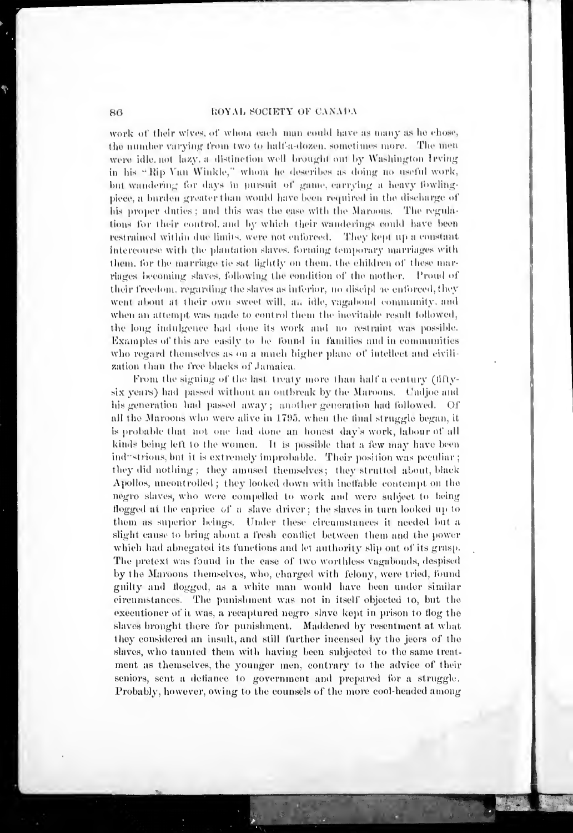work of their wives, of whom each man could have as many as he chose, the number varying from two to half-a-dozen, sometimes more. The men were idle, not lazy, a distinction well brought out by Washington Irving in his "Rip Van Winkle," whom he describes as doing no useful work, but wandering for days in pursuit of game, carrying a heavy fowlingpiece, a burden greater than would have been required in the discharge of his proper duties; and this was the case with the Maroons. The regulations for their control, and by which their wanderings could have been restrained within due limits, were not enforced. They kept up a constant intercourse with the plantation slaves, forming temporary marriages with them, for the marriage tie sat lightly on them, the children of these marriages becoming slaves, following the condition of the mother. Proud of their freedom, regarding the slaves as inferior, no discipl ne entorced, they went about at their own sweet will, an idle, vagabond community, and when an attempt was made to control them the inevitable result followed, the long indulgence had done its work and no restraint was possible. Examples of this are easily to be found in families and in communities who regard themselves as on a much higher plane of intellect and civilization than the free blacks of Jamaica.

From the signing of the last treaty more than half a century (fiftysix years) had passed without an outbreak by the Maroons. Undjoe and his generation had passed away; another generation had followed. Of all the Maroons who were alive in 1795, when the final struggle began, it is probable that not one had done an honest day's work, labour of all kinds being left to the women. It is possible that a few may have been industrious, but it is extremely improbable. Their position was peculiar; they did nothing; they amused themselves; they strutted about, black Apollos, nneontrolled; they looked down with ineffable contempt on the negro slaves, who were compelled to work and were subject to being flogged at the caprice of a slave driver; the slaves in turn looked up to them as superior beings. Under these circumstances it needed but a slight cause to bring about a fresh conflict between them and the power which had abnegated its functions and let authority slip ont of its grasp. The pretext was found in the case of two worthless vagabonds, despised by the Maroons themselves, who, charged with felony, were tried, found guilty and flogged, as a white man would have been under similar eirenmstances. The punishment was not in itself objected to, but the executioner of it was, a recaptured negro slave kept in prison to flog the slaves brought there for punishment. Maddened by resentment at what they considered an insult, and still further incensed by the jeers of the slaves, who taunted them with having been subjected to the same treatment as themselves, the younger men, contrary to the advice of their seniors, sent a defiance to government and prepared for a struggle. Probably, however, owing to the counsels of the more cool-headed among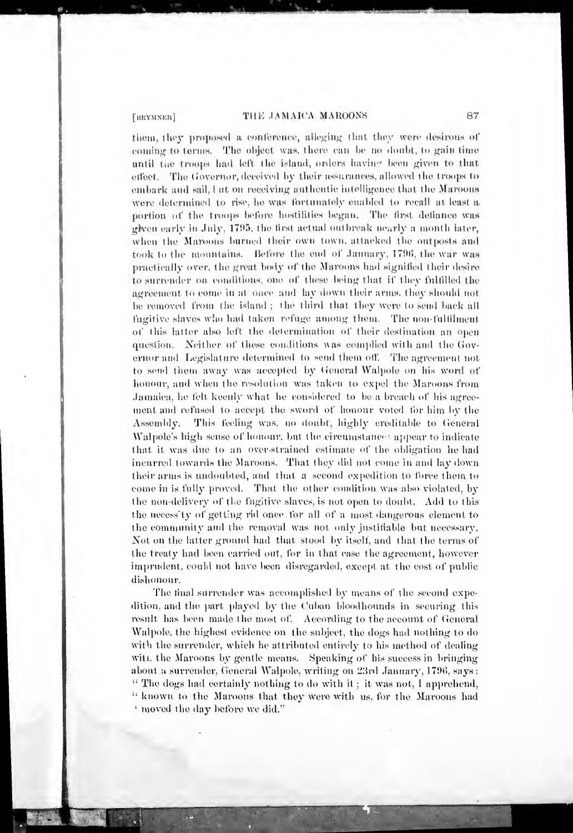[HRYMNER]

# THE JAMAICA MAROONS

them, they proposed a conference, alleging that they were desirous of coming to terms. The object was, there can be no doubt, to gain time until the troops had left the island, orders having been given to that effect. The Governor, deceived by their assurances, allowed the troops to embark and sail, I at on receiving authentic intelligence that the Maroons were determined to rise, he was fortunately enabled to recall at least a portion of the troops before hostilities began. The first defiance was given early in July, 1795, the first actual outbreak nearly a month later, when the Maroons burned their own town, attacked the outposts and took to the mountains. Before the end of January, 1796, the war was practically over, the great body of the Maroons had signified their desire to surrender on conditions, one of these being that if they fulfilled the agreement to come in at once and lay down their arms, they should not be removed from the island; the third that they were to send back all fugitive slaves who had taken refuge among them. The non-fulfilment of this latter also left the determination of their destination an open question. Neither of these conditions was complied with and the Goyernor and Legislature determined to send them off. The agreement not to send them away was accepted by General Walpole on his word of honour, and when the resolution was taken to expel the Maroons from Jamaica, he felt keenly what he considered to be a breach of his agreement and refused to accept the sword of honour voted for him by the Assembly. This feeling was, no doubt, highly creditable to General Walpole's high sense of honour, but the circumstances appear to indicate that it was due to an over-strained estimate of the obligation he had incurred towards the Maroons. That they did not come in and lay down their arms is undoubted, and that a second expedition to force them to come in is fully proved. That the other condition was also violated, by the non-delivery of the fugitive slaves, is not open to doubt. Add to this the necess'ty of getting rid once for all of a most dangerous element to the community and the removal was not only justifiable but necessary. Not on the latter ground had that stood by itself, and that the terms of the treaty had been carried out, for in that case the agreement, however imprudent, could not have been disregarded, except at the cost of public dishonour.

The final surrender was accomplished by means of the second expedition, and the part played by the Cuban bloodhounds in securing this result has been made the most of. According to the account of General Walpole, the highest evidence on the subject, the dogs had nothing to do with the surrender, which he attributed entirely to his method of dealing with the Maroons by gentle means. Speaking of his success in bringing about a surrender, General Walpole, writing on 23rd January, 1796, says : "The dogs had certainly nothing to do with it; it was not, I apprehend, " known to the Maroons that they were with us, for the Maroons had ' moved the day before we did."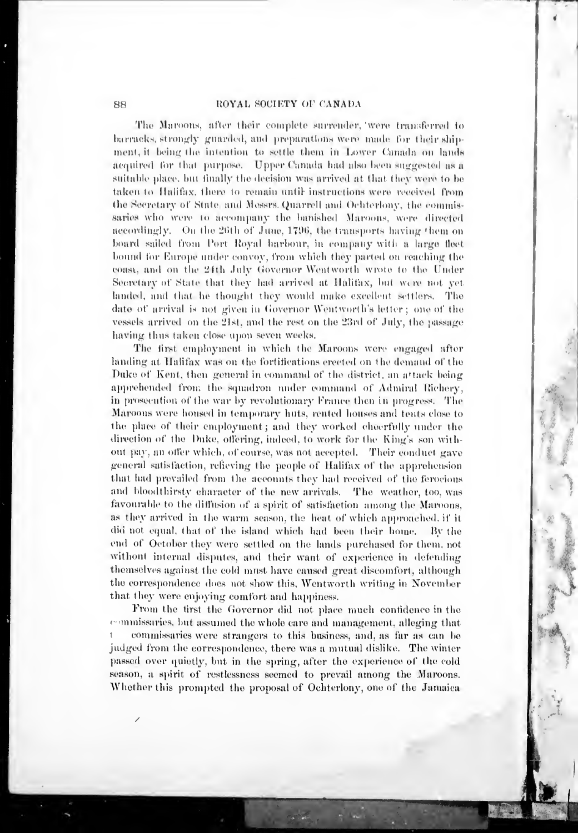The Marcons, after their couplete surrender, were transferred to barracks, strongly guarded, and preparations were made for their shipment, it being the intention to settle them in Lower Canada on lands acquired for that purpose. Upper Canada had also been suggested as a suitable place, but finally the decision was arrived at that they were to be taken to Halifax, there to remain until instructions were received from the Secretary of State and Messrs. Quarrell and Ochterlony, the commissaries who were to accompany the banished Maroons, were directed accordingly. On the 26th of June, 1796, the transports having them on board sailed from Port Royal harbour, in company with a large fleet bound for Europe under convoy, from which they parted on reaching the coast, and on the 24th July Governor Wentworth wrote to the Under Secretary of State that they had arrived at Halifax, but were not yet landed, and that he thought they would make excellent settlers. The date of arrival is not given in Governor Wentworth's letter; one of the vessels arrived on the 21st, and the rest on the 23rd of July, the passage having thus taken close upon seven weeks.

The first employment in which the Maroons were engaged after landing at Halifax was on the fortifications erected on the demand of the Duke of Kent, then general in command of the district, an attack being apprehended from the squadron under command of Admiral Richery. in prosecution of the war by revolutionary France then in progress. The Maroons were housed in temporary huts, rented houses and tents close to the place of their employment; and they worked cheerfully under the direction of the Duke, offering, indeed, to work for the King's son without pay, an offer which, of course, was not accepted. Their conduct gave general satisfaction, relieving the people of Halifax of the apprehension that had prevailed from the accounts they had received of the ferocious and bloodthirsty character of the new arrivals. The weather, too, was favourable to the diffusion of a spirit of satisfaction among the Maroons, as they arrived in the warm season, the heat of which approached, if it did not equal, that of the island which had been their home. By the end of October they were settled on the lands purchased for them, not without internal disputes, and their want of experience in defending themselves against the cold must have caused great discomfort, although the correspondence does not show this. Wentworth writing in November that they were enjoying comfort and happiness.

From the tirst the Governor did not place much contidence in the commissaries, but assumed the whole care and management, alleging that commissaries were strangers to this business, and, as far as can be judged from the correspondence, there was a mutual dislike. The winter passed over quietly, but in the spring, after the experience of the cold season, a spirit of restlessness seemed to prevail among the Maroons. Whether this prompted the proposal of Ochterlony, one of the Jamaica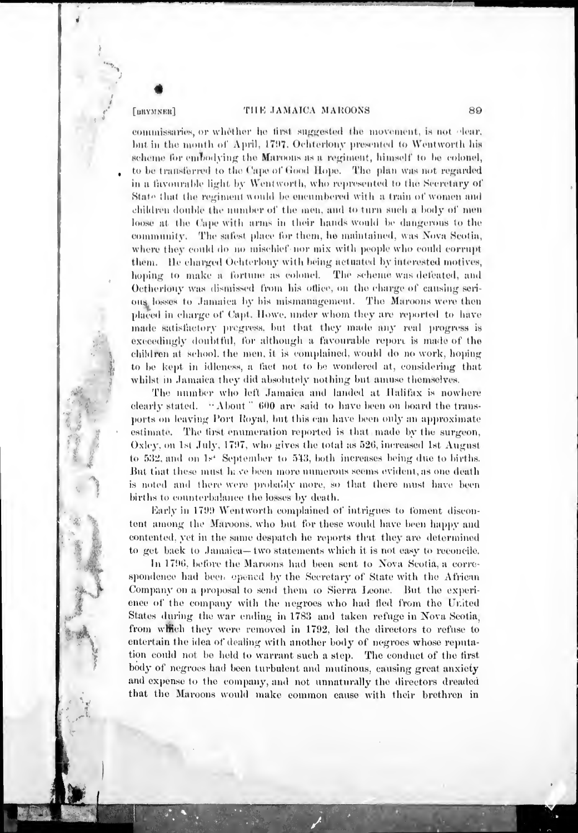#### [BRYMNER]

# THE JAMAICA MAROONS

commissaries, or whether he first suggested the movement, is not elear. but in the month of April, 1797. Ochterlony presented to Wentworth his scheme for embodying the Marcons as a regiment, himself to be colonel, to be transferred to the Cape of Good Hope. The plan was not regarded in a favourable light by Wentworth, who represented to the Secretary of State that the regiment would be encumbered with a train of women and children double the number of the men, and to turn such a body of men loose at the Cape with arms in their hands would be dangerous to the community. The safest place for them, he maintained, was Nova Scotia, where they could do no mischief nor mix with people who could corrupt them. He charged Ochterlony with being actuated by interested motives, hoping to make a fortune as colonel. The scheme was defeated, and Octherlouv was dismissed from his office, on the charge of cansing serious losses to Jamaica by his mismanagement. The Maroons were then placed in charge of Capt. Howe, under whom they are reported to have made satisfactory pregress, but that they made any real progress is exceedingly doubtful, for although a favourable report is made of the children at school, the men, it is complained, would do no work, hoping to be kept in idleness, a fact not to be wondered at, considering that whilst in Jamaica they did absolutely nothing but amuse themselves.

The number who left Jamaica and landed at Halifax is nowhere clearly stated. "About" 600 are said to have been on board the transports on leaving Port Royal, but this can have been only an approximate estimate. The tirst enumeration reported is that made by the surgeon, Oxley, on 1st July, 1797, who gives the total as 526, increased 1st August to 532, and on 1st September to 543, both increases being due to births. But that these must have been more numerous seems evident, as one death is noted and there were probably more, so that there must have been births to counterbalance the losses by death.

Early in 1799 Wentworth complained of intrigues to foment discontent among the Marcons, who but for these would have been happy and contented, yet in the same despatch he reports that they are determined to get back to Januarica—two statements which it is not easy to reconcile.

In 1796, before the Maroons had been sent to Nova Scotia, a correspondence had been opened by the Secretary of State with the African Company on a proposal to send them to Sierra Leone. But the experience of the company with the negroes who had fled from the United States during the war ending in 1783 and taken refuge in Nova Seotia, from which they were removed in 1792, led the directors to refuse to entertain the idea of dealing with another body of negroes whose reputation could not be held to warrant such a step. The conduct of the first body of negroes had been turbulent and mutinous, causing great anxiety and expense to the company, and not unnaturally the directors dreaded that the Maroons would make common cause with their brethren in